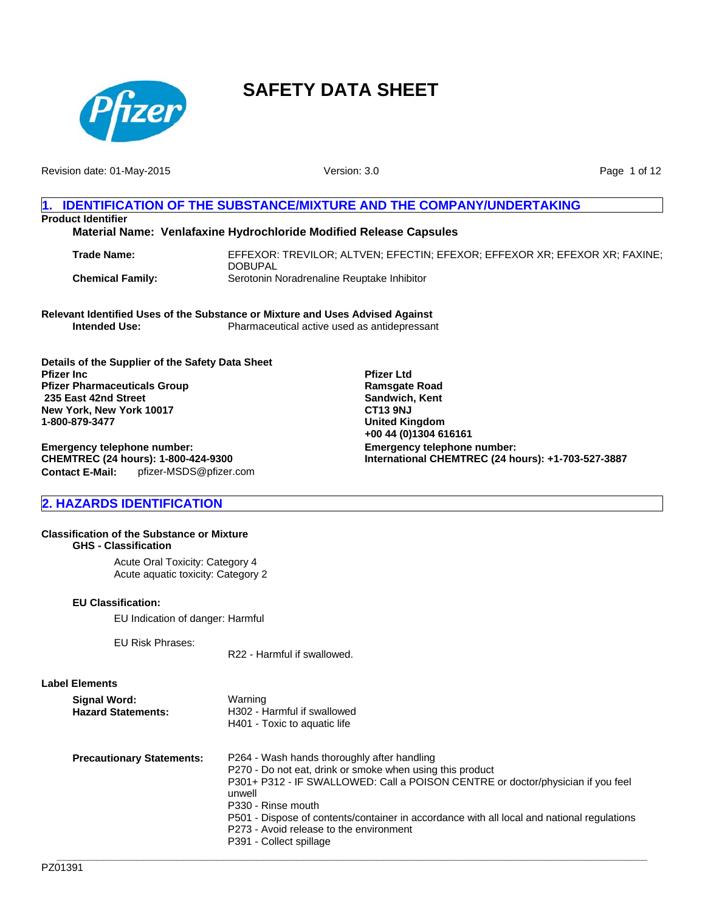

Revision date: 01-May-2015

Version: 3.0

Page 1 of 12

# **1. IDENTIFICATION OF THE SUBSTANCE/MIXTURE AND THE COMPANY/UNDERTAKING Product Identifier**

# **Material Name: Venlafaxine Hydrochloride Modified Release Capsules**

| <b>Trade Name:</b>      | EFFEXOR: TREVILOR: ALTVEN: EFECTIN: EFEXOR: EFFEXOR XR: EFEXOR XR: FAXINE: |
|-------------------------|----------------------------------------------------------------------------|
|                         | <b>DOBUPAL</b>                                                             |
| <b>Chemical Family:</b> | Serotonin Noradrenaline Reuptake Inhibitor                                 |

**Pfizer Ltd Ramsgate Road Sandwich, Kent CT13 9NJ United Kingdom +00 44 (0)1304 616161**

**Emergency telephone number:**

**International CHEMTREC (24 hours): +1-703-527-3887**

**Relevant Identified Uses of the Substance or Mixture and Uses Advised Against** Pharmaceutical active used as antidepressant

**Details of the Supplier of the Safety Data Sheet Pfizer Inc Pfizer Pharmaceuticals Group 235 East 42nd Street New York, New York 10017 1-800-879-3477**

**Contact E-Mail:** pfizer-MSDS@pfizer.com **Emergency telephone number: CHEMTREC (24 hours): 1-800-424-9300**

# **2. HAZARDS IDENTIFICATION**

#### **Classification of the Substance or Mixture GHS - Classification**

Acute Oral Toxicity: Category 4 Acute aquatic toxicity: Category 2

### **EU Classification:**

EU Indication of danger: Harmful

EU Risk Phrases:

R22 - Harmful if swallowed.

# **Label Elements**

| <b>Signal Word:</b><br><b>Hazard Statements:</b> | Warning<br>H302 - Harmful if swallowed<br>H401 - Toxic to aguatic life                                                                                                                                                                                                                                                                                                                          |
|--------------------------------------------------|-------------------------------------------------------------------------------------------------------------------------------------------------------------------------------------------------------------------------------------------------------------------------------------------------------------------------------------------------------------------------------------------------|
| <b>Precautionary Statements:</b>                 | P264 - Wash hands thoroughly after handling<br>P270 - Do not eat, drink or smoke when using this product<br>P301+ P312 - IF SWALLOWED: Call a POISON CENTRE or doctor/physician if you feel<br>unwell<br>P330 - Rinse mouth<br>P501 - Dispose of contents/container in accordance with all local and national regulations<br>P273 - Avoid release to the environment<br>P391 - Collect spillage |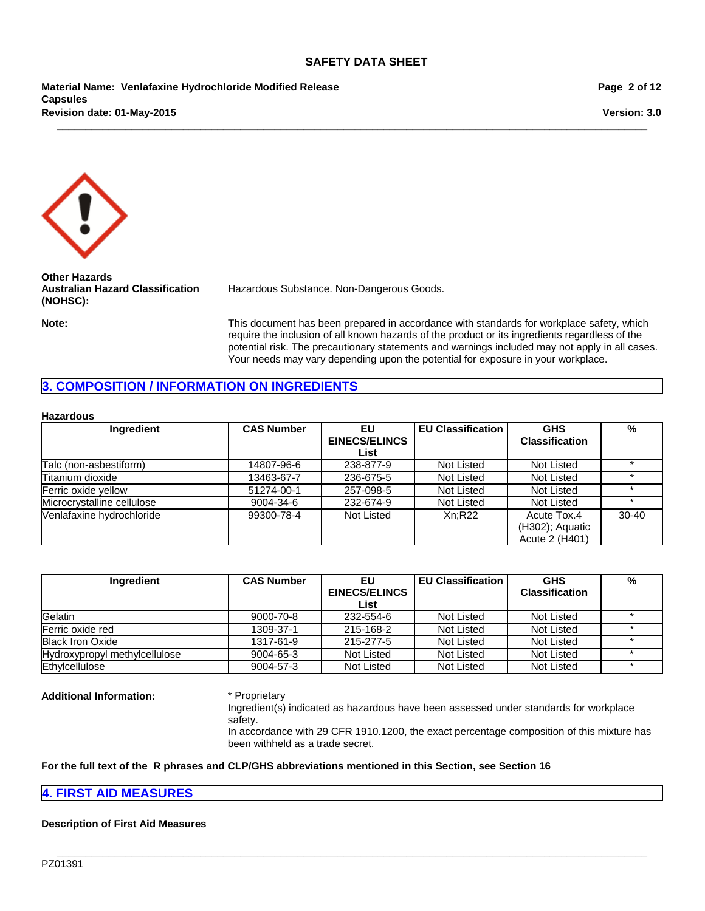**\_\_\_\_\_\_\_\_\_\_\_\_\_\_\_\_\_\_\_\_\_\_\_\_\_\_\_\_\_\_\_\_\_\_\_\_\_\_\_\_\_\_\_\_\_\_\_\_\_\_\_\_\_\_\_\_\_\_\_\_\_\_\_\_\_\_\_\_\_\_\_\_\_\_\_\_\_\_\_\_\_\_\_\_\_\_\_\_\_\_\_\_\_\_\_\_\_\_\_\_\_\_\_**

**Material Name: Venlafaxine Hydrochloride Modified Release Capsules Revision date: 01-May-2015**

**Page 2 of 12**

**Version: 3.0**



**Other Hazards Australian Hazard Classification (NOHSC):**

Hazardous Substance. Non-Dangerous Goods.

**Note:** This document has been prepared in accordance with standards for workplace safety, which require the inclusion of all known hazards of the product or its ingredients regardless of the potential risk. The precautionary statements and warnings included may not apply in all cases. Your needs may vary depending upon the potential for exposure in your workplace.

# **3. COMPOSITION / INFORMATION ON INGREDIENTS**

#### **Hazardous**

| Ingredient                 | <b>CAS Number</b> | EU.                  | <b>EU Classification</b> | <b>GHS</b>                                       | %         |
|----------------------------|-------------------|----------------------|--------------------------|--------------------------------------------------|-----------|
|                            |                   | <b>EINECS/ELINCS</b> |                          | <b>Classification</b>                            |           |
|                            |                   | List                 |                          |                                                  |           |
| Talc (non-asbestiform)     | 14807-96-6        | 238-877-9            | Not Listed               | Not Listed                                       |           |
| Titanium dioxide           | 13463-67-7        | 236-675-5            | Not Listed               | Not Listed                                       |           |
| Ferric oxide vellow        | 51274-00-1        | 257-098-5            | Not Listed               | Not Listed                                       |           |
| Microcrystalline cellulose | 9004-34-6         | 232-674-9            | Not Listed               | Not Listed                                       |           |
| Venlafaxine hydrochloride  | 99300-78-4        | Not Listed           | Xn:R22                   | Acute Tox.4<br>(H302); Aquatic<br>Acute 2 (H401) | $30 - 40$ |

| Ingredient                    | <b>CAS Number</b> | EU                   | <b>EU Classification</b> | <b>GHS</b>            | % |
|-------------------------------|-------------------|----------------------|--------------------------|-----------------------|---|
|                               |                   | <b>EINECS/ELINCS</b> |                          | <b>Classification</b> |   |
|                               |                   | List                 |                          |                       |   |
| Gelatin                       | 9000-70-8         | 232-554-6            | Not Listed               | Not Listed            |   |
| Ferric oxide red              | 1309-37-1         | 215-168-2            | Not Listed               | Not Listed            |   |
| <b>Black Iron Oxide</b>       | 1317-61-9         | 215-277-5            | Not Listed               | Not Listed            |   |
| Hydroxypropyl methylcellulose | 9004-65-3         | Not Listed           | Not Listed               | Not Listed            |   |
| Ethylcellulose                | 9004-57-3         | Not Listed           | Not Listed               | Not Listed            |   |

**\_\_\_\_\_\_\_\_\_\_\_\_\_\_\_\_\_\_\_\_\_\_\_\_\_\_\_\_\_\_\_\_\_\_\_\_\_\_\_\_\_\_\_\_\_\_\_\_\_\_\_\_\_\_\_\_\_\_\_\_\_\_\_\_\_\_\_\_\_\_\_\_\_\_\_\_\_\_\_\_\_\_\_\_\_\_\_\_\_\_\_\_\_\_\_\_\_\_\_\_\_\_\_**

**Additional Information:** \* Proprietary

Ingredient(s) indicated as hazardous have been assessed under standards for workplace safety.

In accordance with 29 CFR 1910.1200, the exact percentage composition of this mixture has been withheld as a trade secret.

#### **For the full text of the R phrases and CLP/GHS abbreviations mentioned in this Section, see Section 16**

# **4. FIRST AID MEASURES**

#### **Description of First Aid Measures**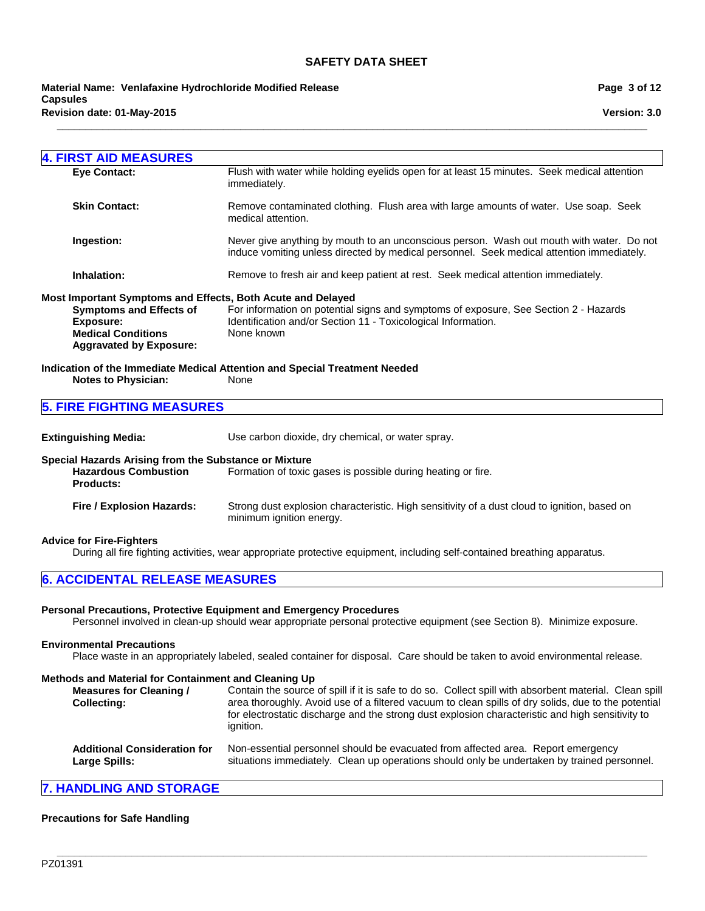**\_\_\_\_\_\_\_\_\_\_\_\_\_\_\_\_\_\_\_\_\_\_\_\_\_\_\_\_\_\_\_\_\_\_\_\_\_\_\_\_\_\_\_\_\_\_\_\_\_\_\_\_\_\_\_\_\_\_\_\_\_\_\_\_\_\_\_\_\_\_\_\_\_\_\_\_\_\_\_\_\_\_\_\_\_\_\_\_\_\_\_\_\_\_\_\_\_\_\_\_\_\_\_**

**Revision date: 01-May-2015 Material Name: Venlafaxine Hydrochloride Modified Release Capsules**

| <b>4. FIRST AID MEASURES</b>                                |                                                                                                                                                                                       |
|-------------------------------------------------------------|---------------------------------------------------------------------------------------------------------------------------------------------------------------------------------------|
| <b>Eye Contact:</b>                                         | Flush with water while holding eyelids open for at least 15 minutes. Seek medical attention<br>immediately.                                                                           |
| <b>Skin Contact:</b>                                        | Remove contaminated clothing. Flush area with large amounts of water. Use soap. Seek<br>medical attention.                                                                            |
| Ingestion:                                                  | Never give anything by mouth to an unconscious person. Wash out mouth with water. Do not<br>induce vomiting unless directed by medical personnel. Seek medical attention immediately. |
| Inhalation:                                                 | Remove to fresh air and keep patient at rest. Seek medical attention immediately.                                                                                                     |
| Most Important Symptoms and Effects, Both Acute and Delayed |                                                                                                                                                                                       |
| <b>Symptoms and Effects of</b>                              | For information on potential signs and symptoms of exposure, See Section 2 - Hazards                                                                                                  |
| <b>Exposure:</b>                                            | Identification and/or Section 11 - Toxicological Information.<br>None known                                                                                                           |
| <b>Medical Conditions</b><br><b>Aggravated by Exposure:</b> |                                                                                                                                                                                       |
|                                                             | Indication of the Immediate Medical Attention and Special Treatment Needed                                                                                                            |
| <b>Notes to Physician:</b>                                  | None                                                                                                                                                                                  |
| <b>5. FIRE FIGHTING MEASURES</b>                            |                                                                                                                                                                                       |
|                                                             |                                                                                                                                                                                       |
| <b>Extinguishing Media:</b>                                 | Use carbon dioxide, dry chemical, or water spray.                                                                                                                                     |
|                                                             |                                                                                                                                                                                       |

**Special Hazards Arising from the Substance or Mixture Hazardous Combustion Products:** Formation of toxic gases is possible during heating or fire. **Fire / Explosion Hazards:** Strong dust explosion characteristic. High sensitivity of a dust cloud to ignition, based on minimum ignition energy.

#### **Advice for Fire-Fighters**

During all fire fighting activities, wear appropriate protective equipment, including self-contained breathing apparatus.

# **6. ACCIDENTAL RELEASE MEASURES**

#### **Personal Precautions, Protective Equipment and Emergency Procedures**

Personnel involved in clean-up should wear appropriate personal protective equipment (see Section 8). Minimize exposure.

### **Environmental Precautions**

Place waste in an appropriately labeled, sealed container for disposal. Care should be taken to avoid environmental release.

#### **Methods and Material for Containment and Cleaning Up**

| <b>Measures for Cleaning /</b><br><b>Collecting:</b> | Contain the source of spill if it is safe to do so. Collect spill with absorbent material. Clean spill<br>area thoroughly. Avoid use of a filtered vacuum to clean spills of dry solids, due to the potential<br>for electrostatic discharge and the strong dust explosion characteristic and high sensitivity to<br>ignition. |
|------------------------------------------------------|--------------------------------------------------------------------------------------------------------------------------------------------------------------------------------------------------------------------------------------------------------------------------------------------------------------------------------|
| <b>Additional Consideration for</b><br>Large Spills: | Non-essential personnel should be evacuated from affected area. Report emergency<br>situations immediately. Clean up operations should only be undertaken by trained personnel.                                                                                                                                                |

# **7. HANDLING AND STORAGE**

#### **Precautions for Safe Handling**

**Page 3 of 12**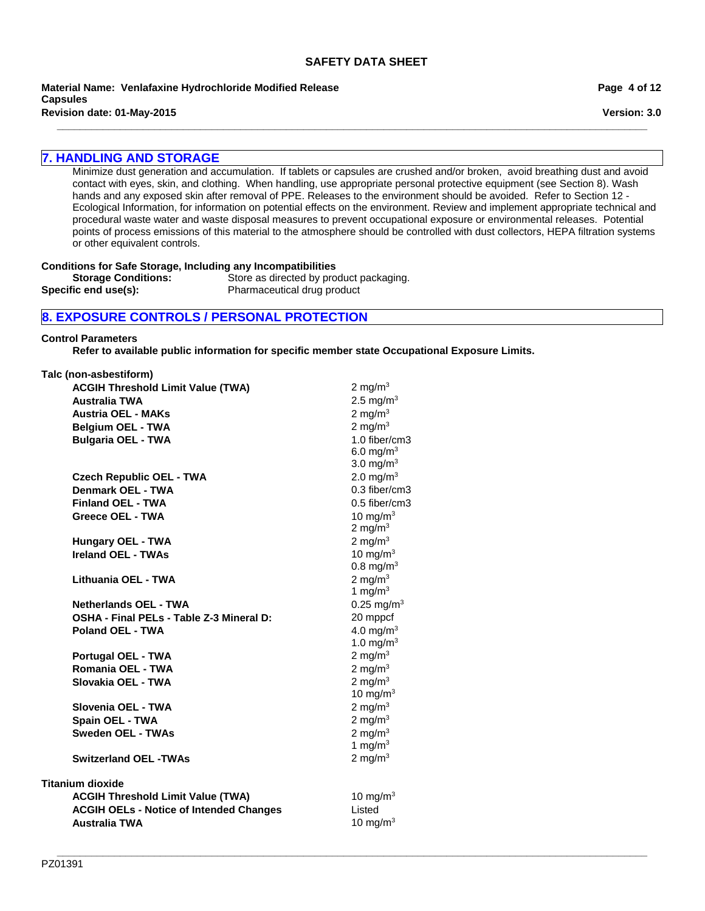**Material Name: Venlafaxine Hydrochloride Modified Release Capsules**

**\_\_\_\_\_\_\_\_\_\_\_\_\_\_\_\_\_\_\_\_\_\_\_\_\_\_\_\_\_\_\_\_\_\_\_\_\_\_\_\_\_\_\_\_\_\_\_\_\_\_\_\_\_\_\_\_\_\_\_\_\_\_\_\_\_\_\_\_\_\_\_\_\_\_\_\_\_\_\_\_\_\_\_\_\_\_\_\_\_\_\_\_\_\_\_\_\_\_\_\_\_\_\_ Revision date: 01-May-2015**

# **7. HANDLING AND STORAGE**

Minimize dust generation and accumulation. If tablets or capsules are crushed and/or broken, avoid breathing dust and avoid contact with eyes, skin, and clothing. When handling, use appropriate personal protective equipment (see Section 8). Wash hands and any exposed skin after removal of PPE. Releases to the environment should be avoided. Refer to Section 12 - Ecological Information, for information on potential effects on the environment. Review and implement appropriate technical and procedural waste water and waste disposal measures to prevent occupational exposure or environmental releases. Potential points of process emissions of this material to the atmosphere should be controlled with dust collectors, HEPA filtration systems or other equivalent controls.

### **Conditions for Safe Storage, Including any Incompatibilities**

**Storage Conditions:** Store as directed by product packaging.<br> **Specific end use(s):** Pharmaceutical drug product Pharmaceutical drug product

# **8. EXPOSURE CONTROLS / PERSONAL PROTECTION**

#### **Control Parameters**

**Refer to available public information for specific member state Occupational Exposure Limits.**

| Talc (non-asbestiform)                         |                          |
|------------------------------------------------|--------------------------|
| <b>ACGIH Threshold Limit Value (TWA)</b>       | 2 mg/m <sup>3</sup>      |
| <b>Australia TWA</b>                           | 2.5 mg/m <sup>3</sup>    |
| <b>Austria OEL - MAKs</b>                      | 2 mg/m $3$               |
| <b>Belgium OEL - TWA</b>                       | 2 mg/m $3$               |
| <b>Bulgaria OEL - TWA</b>                      | 1.0 fiber/cm3            |
|                                                | 6.0 mg/m <sup>3</sup>    |
|                                                | 3.0 mg/ $m3$             |
| <b>Czech Republic OEL - TWA</b>                | 2.0 mg/m <sup>3</sup>    |
| Denmark OEL - TWA                              | 0.3 fiber/cm3            |
| <b>Finland OEL - TWA</b>                       | 0.5 fiber/cm3            |
| Greece OEL - TWA                               | 10 mg/m $3$              |
|                                                | 2 mg/m $3$               |
| <b>Hungary OEL - TWA</b>                       | 2 mg/ $m3$               |
| <b>Ireland OEL - TWAs</b>                      | 10 mg/m $3$              |
|                                                | $0.8 \text{ mg/m}^3$     |
| Lithuania OEL - TWA                            | 2 mg/m $3$               |
|                                                | 1 mg/m $3$               |
| <b>Netherlands OEL - TWA</b>                   | $0.25$ mg/m <sup>3</sup> |
| OSHA - Final PELs - Table Z-3 Mineral D:       | 20 mppcf                 |
| <b>Poland OEL - TWA</b>                        | 4.0 mg/m $3$             |
|                                                | 1.0 mg/m <sup>3</sup>    |
| Portugal OEL - TWA                             | 2 mg/m $3$               |
| Romania OEL - TWA                              | 2 mg/m $3$               |
| Slovakia OEL - TWA                             | 2 mg/m $3$               |
|                                                | 10 mg/m $3$              |
| Slovenia OEL - TWA                             | 2 mg/m $3$               |
| Spain OEL - TWA                                | 2 mg/m $3$               |
| <b>Sweden OEL - TWAs</b>                       | 2 mg/m $3$               |
|                                                | 1 mg/m $3$               |
| <b>Switzerland OEL -TWAs</b>                   | 2 mg/m $3$               |
| <b>Titanium dioxide</b>                        |                          |
| <b>ACGIH Threshold Limit Value (TWA)</b>       | 10 mg/m $3$              |
| <b>ACGIH OELs - Notice of Intended Changes</b> | Listed                   |
| <b>Australia TWA</b>                           | 10 mg/m $3$              |
|                                                |                          |

**Page 4 of 12**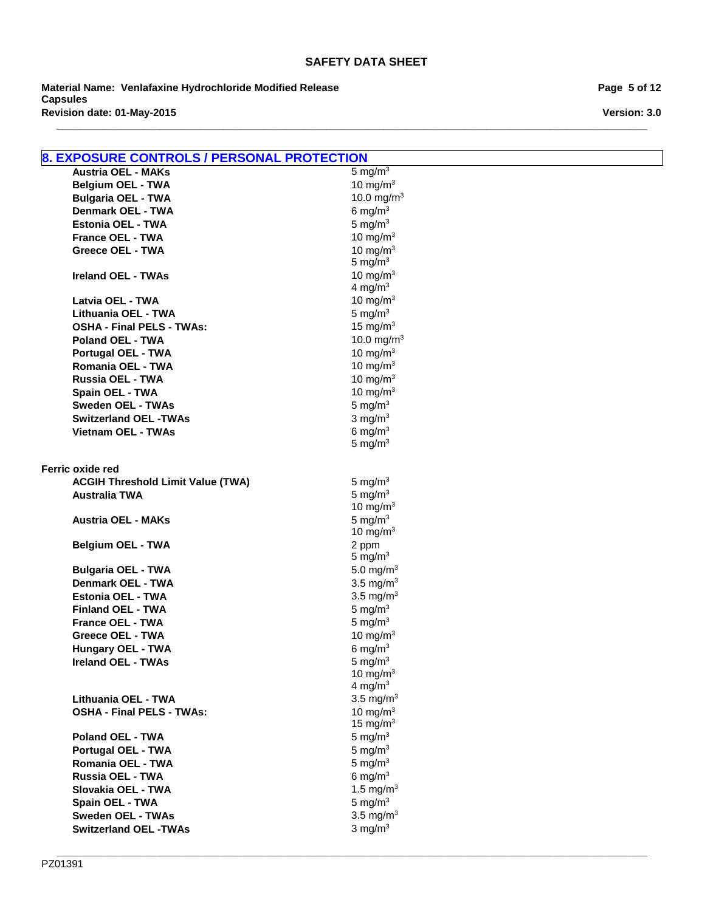**\_\_\_\_\_\_\_\_\_\_\_\_\_\_\_\_\_\_\_\_\_\_\_\_\_\_\_\_\_\_\_\_\_\_\_\_\_\_\_\_\_\_\_\_\_\_\_\_\_\_\_\_\_\_\_\_\_\_\_\_\_\_\_\_\_\_\_\_\_\_\_\_\_\_\_\_\_\_\_\_\_\_\_\_\_\_\_\_\_\_\_\_\_\_\_\_\_\_\_\_\_\_\_**

**Revision date: 01-May-2015 Material Name: Venlafaxine Hydrochloride Modified Release Capsules**

**Page 5 of 12**

**Version: 3.0**

| <b>8. EXPOSURE CONTROLS / PERSONAL PROTECTION</b> |                           |
|---------------------------------------------------|---------------------------|
| <b>Austria OEL - MAKs</b>                         | 5 mg/m <sup>3</sup>       |
| <b>Belgium OEL - TWA</b>                          | 10 mg/m $3$               |
| <b>Bulgaria OEL - TWA</b>                         | 10.0 mg/m <sup>3</sup>    |
| <b>Denmark OEL - TWA</b>                          | 6 mg/ $m3$                |
| Estonia OEL - TWA                                 | 5 mg/ $m3$                |
| <b>France OEL - TWA</b>                           | 10 mg/ $m3$               |
| <b>Greece OEL - TWA</b>                           | 10 mg/m $3$               |
|                                                   | 5 mg/ $m3$                |
| <b>Ireland OEL - TWAs</b>                         | 10 mg/m $3$               |
|                                                   | 4 mg/m $3$                |
| Latvia OEL - TWA                                  | 10 mg/m $3$               |
| Lithuania OEL - TWA                               | 5 mg/ $m3$                |
| <b>OSHA - Final PELS - TWAs:</b>                  | 15 mg/m $3$               |
| <b>Poland OEL - TWA</b>                           | 10.0 mg/m <sup>3</sup>    |
| <b>Portugal OEL - TWA</b>                         | 10 mg/m $3$               |
| Romania OEL - TWA                                 | 10 mg/m $3$               |
| Russia OEL - TWA                                  | 10 mg/m $3$               |
| Spain OEL - TWA                                   | 10 mg/m $3$               |
| <b>Sweden OEL - TWAs</b>                          | 5 mg/ $m3$                |
| <b>Switzerland OEL -TWAs</b>                      | 3 mg/m $3$                |
| <b>Vietnam OEL - TWAs</b>                         | 6 mg/ $m3$                |
|                                                   | 5 mg/ $m3$                |
|                                                   |                           |
| Ferric oxide red                                  |                           |
| <b>ACGIH Threshold Limit Value (TWA)</b>          | 5 mg/ $m3$                |
| <b>Australia TWA</b>                              | 5 mg/ $m3$                |
| <b>Austria OEL - MAKs</b>                         | 10 mg/m $3$<br>5 mg/ $m3$ |
|                                                   | 10 mg/m $3$               |
| <b>Belgium OEL - TWA</b>                          | 2 ppm                     |
|                                                   | 5 mg/ $m3$                |
| <b>Bulgaria OEL - TWA</b>                         | 5.0 mg/m <sup>3</sup>     |
| <b>Denmark OEL - TWA</b>                          | 3.5 mg/ $m3$              |
| <b>Estonia OEL - TWA</b>                          | 3.5 mg/ $m3$              |
| <b>Finland OEL - TWA</b>                          | 5 mg/ $m3$                |
| <b>France OEL - TWA</b>                           | 5 mg/ $m3$                |
| <b>Greece OEL - TWA</b>                           | 10 mg/m $3$               |
| Hungary OEL - TWA                                 | 6 mg/m $3$                |
| <b>Ireland OEL - TWAs</b>                         | 5 mg/ $m3$                |
|                                                   | 10 mg/m $3$               |
|                                                   | 4 mg/m $3$                |
| Lithuania OEL - TWA                               | 3.5 mg/ $m3$              |
| <b>OSHA - Final PELS - TWAs:</b>                  | 10 mg/m $3$               |
|                                                   | 15 mg/m $3$               |
| <b>Poland OEL - TWA</b>                           | 5 mg/ $m3$                |
| <b>Portugal OEL - TWA</b>                         | 5 mg/ $m3$                |
| Romania OEL - TWA                                 | 5 mg/ $m3$                |
| Russia OEL - TWA                                  | 6 mg/ $m3$                |
| Slovakia OEL - TWA                                | 1.5 mg/m <sup>3</sup>     |
| Spain OEL - TWA                                   | 5 mg/ $m3$                |
| <b>Sweden OEL - TWAs</b>                          | 3.5 mg/ $m3$              |
| <b>Switzerland OEL -TWAs</b>                      | 3 mg/ $m3$                |

**\_\_\_\_\_\_\_\_\_\_\_\_\_\_\_\_\_\_\_\_\_\_\_\_\_\_\_\_\_\_\_\_\_\_\_\_\_\_\_\_\_\_\_\_\_\_\_\_\_\_\_\_\_\_\_\_\_\_\_\_\_\_\_\_\_\_\_\_\_\_\_\_\_\_\_\_\_\_\_\_\_\_\_\_\_\_\_\_\_\_\_\_\_\_\_\_\_\_\_\_\_\_\_**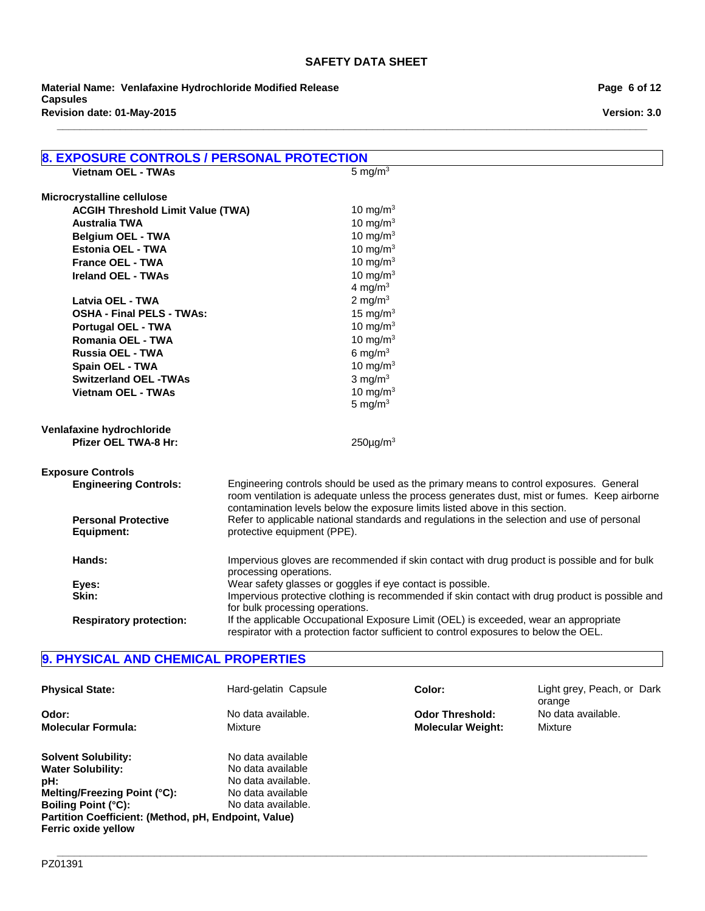**\_\_\_\_\_\_\_\_\_\_\_\_\_\_\_\_\_\_\_\_\_\_\_\_\_\_\_\_\_\_\_\_\_\_\_\_\_\_\_\_\_\_\_\_\_\_\_\_\_\_\_\_\_\_\_\_\_\_\_\_\_\_\_\_\_\_\_\_\_\_\_\_\_\_\_\_\_\_\_\_\_\_\_\_\_\_\_\_\_\_\_\_\_\_\_\_\_\_\_\_\_\_\_**

**Revision date: 01-May-2015 Material Name: Venlafaxine Hydrochloride Modified Release Capsules**

**Version: 3.0**

| <b>8. EXPOSURE CONTROLS / PERSONAL PROTECTION</b> |                                                                                                 |
|---------------------------------------------------|-------------------------------------------------------------------------------------------------|
| <b>Vietnam OEL - TWAs</b>                         | 5 mg/m <sup>3</sup>                                                                             |
|                                                   |                                                                                                 |
| Microcrystalline cellulose                        |                                                                                                 |
| <b>ACGIH Threshold Limit Value (TWA)</b>          | 10 mg/m $3$                                                                                     |
| <b>Australia TWA</b>                              | 10 mg/m $3$                                                                                     |
| <b>Belgium OEL - TWA</b>                          | 10 mg/m $3$                                                                                     |
| Estonia OEL - TWA                                 | 10 mg/m $3$                                                                                     |
| <b>France OEL - TWA</b>                           | 10 mg/m $3$                                                                                     |
| <b>Ireland OEL - TWAs</b>                         | 10 mg/m $3$<br>4 mg/m $3$                                                                       |
| Latvia OEL - TWA                                  | 2 mg/m $3$                                                                                      |
|                                                   |                                                                                                 |
| <b>OSHA - Final PELS - TWAs:</b>                  | 15 mg/m $3$<br>10 mg/m $3$                                                                      |
| Portugal OEL - TWA                                | 10 mg/m $3$                                                                                     |
| Romania OEL - TWA                                 |                                                                                                 |
| Russia OEL - TWA                                  | 6 mg/m $3$                                                                                      |
| Spain OEL - TWA                                   | 10 mg/m $3$                                                                                     |
| <b>Switzerland OEL -TWAs</b>                      | $3 \text{ mg/m}^3$                                                                              |
| <b>Vietnam OEL - TWAs</b>                         | 10 mg/m $3$<br>5 mg/ $m3$                                                                       |
|                                                   |                                                                                                 |
| Venlafaxine hydrochloride                         |                                                                                                 |
| <b>Pfizer OEL TWA-8 Hr:</b>                       | $250 \mu g/m3$                                                                                  |
|                                                   |                                                                                                 |
| <b>Exposure Controls</b>                          |                                                                                                 |
| <b>Engineering Controls:</b>                      | Engineering controls should be used as the primary means to control exposures. General          |
|                                                   | room ventilation is adequate unless the process generates dust, mist or fumes. Keep airborne    |
|                                                   | contamination levels below the exposure limits listed above in this section.                    |
| <b>Personal Protective</b>                        | Refer to applicable national standards and regulations in the selection and use of personal     |
| <b>Equipment:</b>                                 | protective equipment (PPE).                                                                     |
| Hands:                                            | Impervious gloves are recommended if skin contact with drug product is possible and for bulk    |
|                                                   | processing operations.                                                                          |
| Eyes:                                             | Wear safety glasses or goggles if eye contact is possible.                                      |
| Skin:                                             | Impervious protective clothing is recommended if skin contact with drug product is possible and |
|                                                   | for bulk processing operations.                                                                 |
| <b>Respiratory protection:</b>                    | If the applicable Occupational Exposure Limit (OEL) is exceeded, wear an appropriate            |
|                                                   | respirator with a protection factor sufficient to control exposures to below the OEL.           |

# **9. PHYSICAL AND CHEMICAL PROPERTIES**

| <b>Physical State:</b>                                                      | Hard-gelatin Capsule | Color:                   | Light grey, Peach, or Dark   |
|-----------------------------------------------------------------------------|----------------------|--------------------------|------------------------------|
| Odor:                                                                       | No data available.   | <b>Odor Threshold:</b>   | orange<br>No data available. |
| <b>Molecular Formula:</b>                                                   | Mixture              | <b>Molecular Weight:</b> | Mixture                      |
| <b>Solvent Solubility:</b>                                                  | No data available    |                          |                              |
| <b>Water Solubility:</b>                                                    | No data available    |                          |                              |
| pH:                                                                         | No data available.   |                          |                              |
| Melting/Freezing Point (°C):                                                | No data available    |                          |                              |
| Boiling Point (°C):                                                         | No data available.   |                          |                              |
| Partition Coefficient: (Method, pH, Endpoint, Value)<br>Ferric oxide yellow |                      |                          |                              |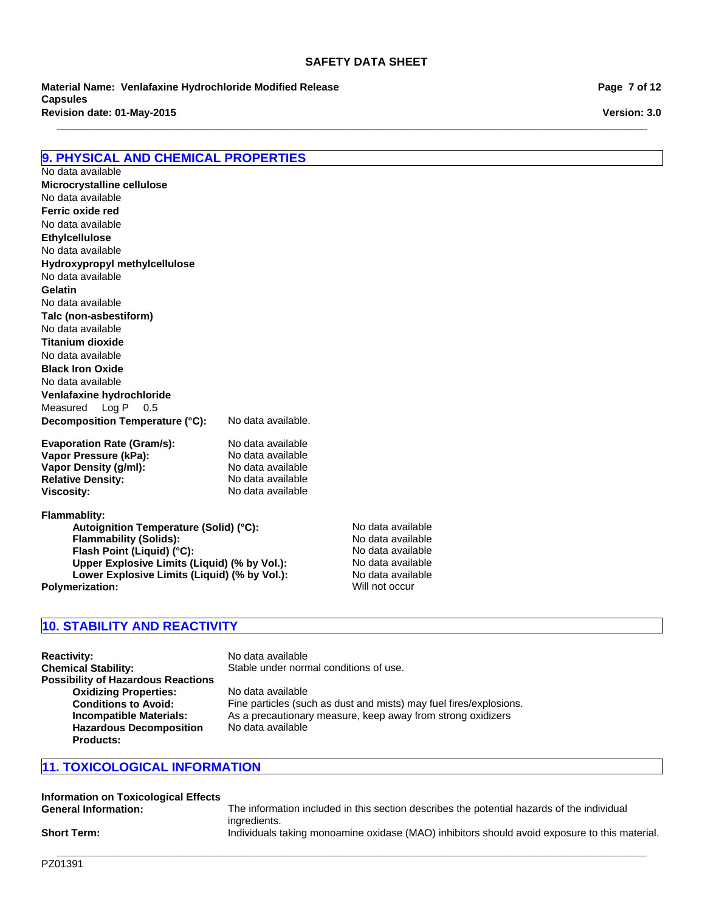**\_\_\_\_\_\_\_\_\_\_\_\_\_\_\_\_\_\_\_\_\_\_\_\_\_\_\_\_\_\_\_\_\_\_\_\_\_\_\_\_\_\_\_\_\_\_\_\_\_\_\_\_\_\_\_\_\_\_\_\_\_\_\_\_\_\_\_\_\_\_\_\_\_\_\_\_\_\_\_\_\_\_\_\_\_\_\_\_\_\_\_\_\_\_\_\_\_\_\_\_\_\_\_**

**Revision date: 01-May-2015 Material Name: Venlafaxine Hydrochloride Modified Release Capsules**

| <b>9. PHYSICAL AND CHEMICAL PROPERTIES</b> |                    |
|--------------------------------------------|--------------------|
| No data available                          |                    |
| Microcrystalline cellulose                 |                    |
| No data available                          |                    |
| Ferric oxide red                           |                    |
| No data available                          |                    |
| <b>Ethylcellulose</b>                      |                    |
| No data available                          |                    |
| Hydroxypropyl methylcellulose              |                    |
| No data available                          |                    |
| Gelatin                                    |                    |
| No data available                          |                    |
| Talc (non-asbestiform)                     |                    |
| No data available                          |                    |
| <b>Titanium dioxide</b>                    |                    |
| No data available                          |                    |
| <b>Black Iron Oxide</b>                    |                    |
| No data available                          |                    |
| Venlafaxine hydrochloride                  |                    |
| Measured Log P<br>0.5                      |                    |
| Decomposition Temperature (°C):            | No data available. |
| <b>Evaporation Rate (Gram/s):</b>          | No data available  |
| Vapor Pressure (kPa):                      | No data available  |
| Vapor Density (g/ml):                      | No data available  |
| <b>Relative Density:</b>                   | No data available  |

**Flammablity:** Autoignition Temperature (Solid) (°C):<br>
Flammability (Solids): No data available **Flammability (Solids):**  $\begin{array}{ccc}\n & \cdot & \cdot & \cdot \\
\hline\n\end{array}$  No data available<br> **Flash Point (Liquid) (°C):** No data available **Flash Point (Liquid) (°C):**<br> **Upper Explosive Limits (Liquid) (% by Vol.):** No data available **Upper Explosive Limits (Liquid) (% by Vol.):** No data available<br>
Lower Explosive Limits (Liquid) (% by Vol.): No data available Lower Explosive Limits (Liquid) (% by Vol.): **Polymerization:** Will not occur

**Viscosity:** No data available

# **10. STABILITY AND REACTIVITY**

| <b>Reactivity:</b>                        | No data available                                                  |
|-------------------------------------------|--------------------------------------------------------------------|
| <b>Chemical Stability:</b>                | Stable under normal conditions of use.                             |
| <b>Possibility of Hazardous Reactions</b> |                                                                    |
| <b>Oxidizing Properties:</b>              | No data available                                                  |
| <b>Conditions to Avoid:</b>               | Fine particles (such as dust and mists) may fuel fires/explosions. |
| <b>Incompatible Materials:</b>            | As a precautionary measure, keep away from strong oxidizers        |
| <b>Hazardous Decomposition</b>            | No data available                                                  |
| <b>Products:</b>                          |                                                                    |

# **11. TOXICOLOGICAL INFORMATION**

| Information on Toxicological Effects |                                                                                                            |
|--------------------------------------|------------------------------------------------------------------------------------------------------------|
| <b>General Information:</b>          | The information included in this section describes the potential hazards of the individual<br>ingredients. |
| <b>Short Term:</b>                   | Individuals taking monoamine oxidase (MAO) inhibitors should avoid exposure to this material.              |

**Page 7 of 12**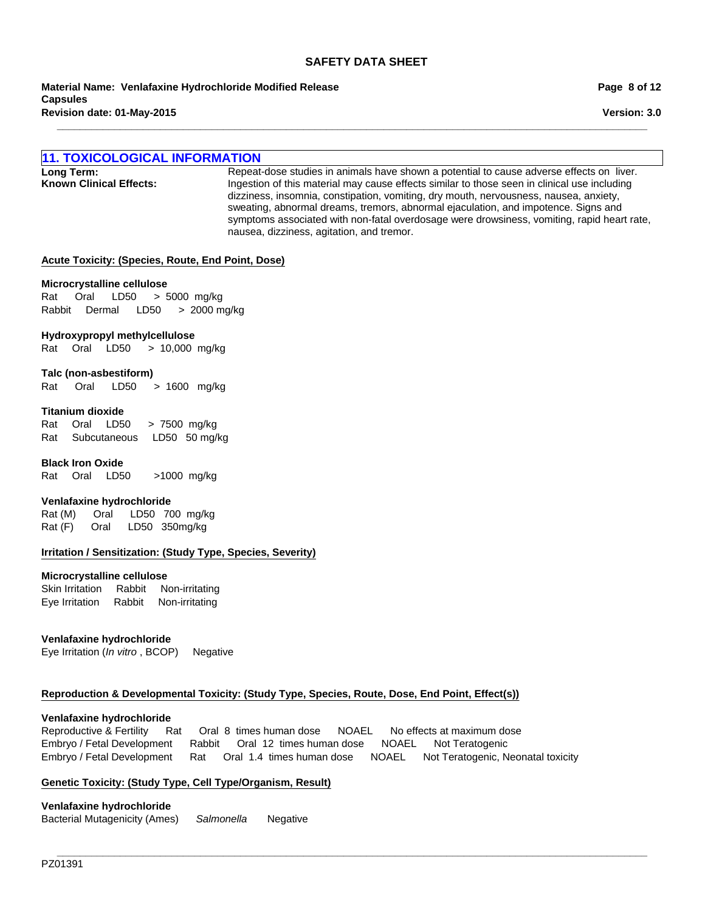**\_\_\_\_\_\_\_\_\_\_\_\_\_\_\_\_\_\_\_\_\_\_\_\_\_\_\_\_\_\_\_\_\_\_\_\_\_\_\_\_\_\_\_\_\_\_\_\_\_\_\_\_\_\_\_\_\_\_\_\_\_\_\_\_\_\_\_\_\_\_\_\_\_\_\_\_\_\_\_\_\_\_\_\_\_\_\_\_\_\_\_\_\_\_\_\_\_\_\_\_\_\_\_**

**Revision date: 01-May-2015 Material Name: Venlafaxine Hydrochloride Modified Release Capsules**

# **11. TOXICOLOGICAL INFORMATION**

**Long Term:** Repeat-dose studies in animals have shown a potential to cause adverse effects on liver.<br>**Known Clinical Effects:** lngestion of this material may cause effects similar to those seen in clinical use including **Known Clinical Effects:** Ingestion of this material may cause effects similar to those seen in clinical use including dizziness, insomnia, constipation, vomiting, dry mouth, nervousness, nausea, anxiety, sweating, abnormal dreams, tremors, abnormal ejaculation, and impotence. Signs and symptoms associated with non-fatal overdosage were drowsiness, vomiting, rapid heart rate, nausea, dizziness, agitation, and tremor.

#### **Acute Toxicity: (Species, Route, End Point, Dose)**

#### **Microcrystalline cellulose**

Rat Oral LD50 >5000mg/kg RabbitDermal LD50 >2000 mg/kg

#### **Hydroxypropyl methylcellulose**

RatOralLD50 >10,000mg/kg

#### **Talc (non-asbestiform)**

Rat Oral LD50 >1600 mg/kg

# **Titanium dioxide**

RatOralLD50 >7500mg/kg RatSubcutaneousLD50 50 mg/kg

#### **Black Iron Oxide**

RatOralLD50 >1000mg/kg

### **Venlafaxine hydrochloride**

Rat (M) Oral LD50 700mg/kg Rat (F) Oral LD50 350mg/kg

#### **Irritation / Sensitization: (Study Type, Species, Severity)**

#### **Microcrystalline cellulose**

Skin IrritationRabbitNon-irritating Eye IrritationRabbitNon-irritating

#### **Venlafaxine hydrochloride**

Eye Irritation (*In vitro* , BCOP)Negative

### **Reproduction & Developmental Toxicity: (Study Type, Species, Route, Dose, End Point, Effect(s))**

#### **Venlafaxine hydrochloride**

Reproductive & FertilityRatOral8times human doseNOAELNo effects at maximum dose Embryo / Fetal DevelopmentRabbitOral12times human doseNOAELNot Teratogenic Embryo / Fetal DevelopmentRatOral1.4times human doseNOAELNot Teratogenic, Neonatal toxicity

**\_\_\_\_\_\_\_\_\_\_\_\_\_\_\_\_\_\_\_\_\_\_\_\_\_\_\_\_\_\_\_\_\_\_\_\_\_\_\_\_\_\_\_\_\_\_\_\_\_\_\_\_\_\_\_\_\_\_\_\_\_\_\_\_\_\_\_\_\_\_\_\_\_\_\_\_\_\_\_\_\_\_\_\_\_\_\_\_\_\_\_\_\_\_\_\_\_\_\_\_\_\_\_**

#### **Genetic Toxicity: (Study Type, Cell Type/Organism, Result)**

#### **Venlafaxine hydrochloride**

Bacterial Mutagenicity (Ames)*Salmonella* Negative

**Version: 3.0 Page 8 of 12**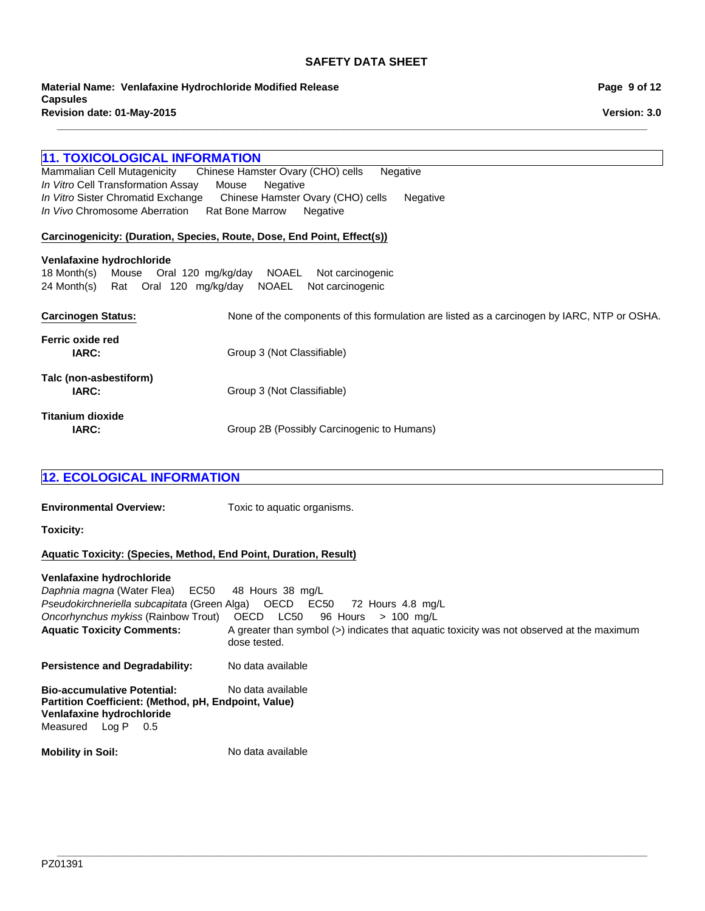**\_\_\_\_\_\_\_\_\_\_\_\_\_\_\_\_\_\_\_\_\_\_\_\_\_\_\_\_\_\_\_\_\_\_\_\_\_\_\_\_\_\_\_\_\_\_\_\_\_\_\_\_\_\_\_\_\_\_\_\_\_\_\_\_\_\_\_\_\_\_\_\_\_\_\_\_\_\_\_\_\_\_\_\_\_\_\_\_\_\_\_\_\_\_\_\_\_\_\_\_\_\_\_**

**Revision date: 01-May-2015 Material Name: Venlafaxine Hydrochloride Modified Release Capsules**

# **11. TOXICOLOGICAL INFORMATION**

Chinese Hamster Ovary (CHO) cells Negative *In Vitro* Cell Transformation AssayMouseNegative *In Vitro* Sister Chromatid ExchangeChinese Hamster Ovary (CHO) cellsNegative *In Vivo* Chromosome AberrationRat Bone MarrowNegative

### **Carcinogenicity: (Duration, Species, Route, Dose, End Point, Effect(s))**

#### **Venlafaxine hydrochloride**

18 Month(s)MouseOral120mg/kg/dayNOAELNot carcinogenic 24 Month(s)RatOral120mg/kg/dayNOAELNot carcinogenic

| <b>Carcinogen Status:</b>       | None of the components of this formulation are listed as a carcinogen by IARC, NTP or OSHA. |
|---------------------------------|---------------------------------------------------------------------------------------------|
| Ferric oxide red<br>IARC:       | Group 3 (Not Classifiable)                                                                  |
| Talc (non-asbestiform)<br>IARC: | Group 3 (Not Classifiable)                                                                  |
| Titanium dioxide<br>IARC:       | Group 2B (Possibly Carcinogenic to Humans)                                                  |

# **12. ECOLOGICAL INFORMATION**

**Environmental Overview:** Toxic to aquatic organisms.

**Toxicity:**

# **Aquatic Toxicity: (Species, Method, End Point, Duration, Result)**

#### **Venlafaxine hydrochloride**

Aquatic Toxicity Comments: A greater than symbol (>) indicates that aquatic toxicity was not observed at the maximum dose tested. **Persistence and Degradability:** No data available **Bio-accumulative Potential:** No data available **Partition Coefficient: (Method, pH, Endpoint, Value) Mobility in Soil:** No data available *Daphnia magna* (Water Flea)EC50 48Hours38mg/L *Pseudokirchneriella subcapitata* (Green Alga)OECDEC50 72Hours4.8mg/L *Oncorhynchus mykiss* (Rainbow Trout)OECDLC50 96Hours>100mg/L **Venlafaxine hydrochloride** MeasuredLog P0.5

**\_\_\_\_\_\_\_\_\_\_\_\_\_\_\_\_\_\_\_\_\_\_\_\_\_\_\_\_\_\_\_\_\_\_\_\_\_\_\_\_\_\_\_\_\_\_\_\_\_\_\_\_\_\_\_\_\_\_\_\_\_\_\_\_\_\_\_\_\_\_\_\_\_\_\_\_\_\_\_\_\_\_\_\_\_\_\_\_\_\_\_\_\_\_\_\_\_\_\_\_\_\_\_**

**Page 9 of 12**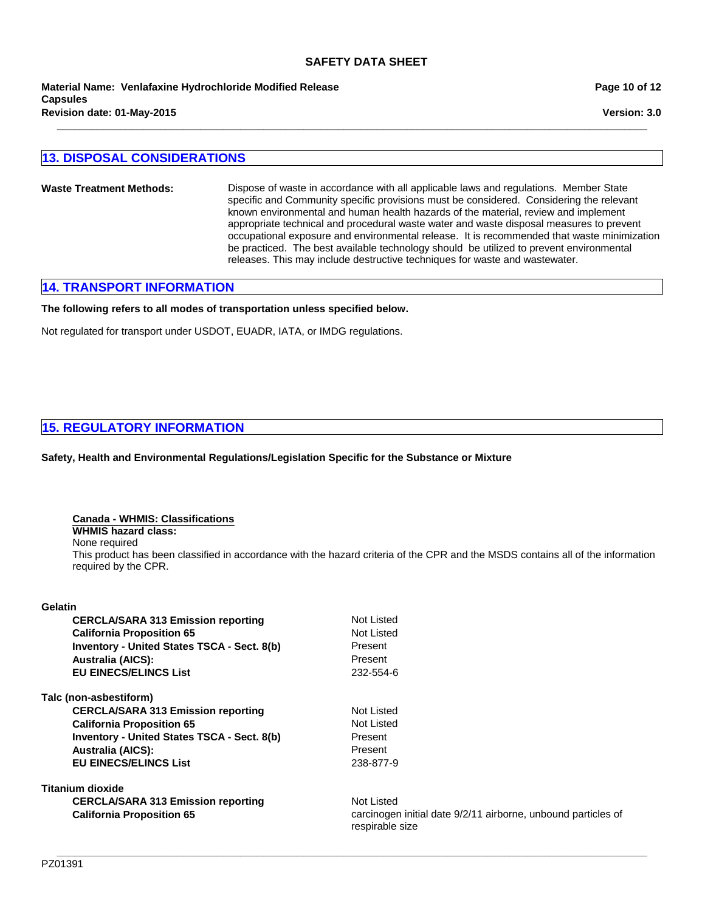**Material Name: Venlafaxine Hydrochloride Modified Release Capsules Revision date: 01-May-2015**

# **13. DISPOSAL CONSIDERATIONS**

**Waste Treatment Methods:** Dispose of waste in accordance with all applicable laws and regulations. Member State specific and Community specific provisions must be considered. Considering the relevant known environmental and human health hazards of the material, review and implement appropriate technical and procedural waste water and waste disposal measures to prevent occupational exposure and environmental release. It is recommended that waste minimization be practiced. The best available technology should be utilized to prevent environmental releases. This may include destructive techniques for waste and wastewater.

**\_\_\_\_\_\_\_\_\_\_\_\_\_\_\_\_\_\_\_\_\_\_\_\_\_\_\_\_\_\_\_\_\_\_\_\_\_\_\_\_\_\_\_\_\_\_\_\_\_\_\_\_\_\_\_\_\_\_\_\_\_\_\_\_\_\_\_\_\_\_\_\_\_\_\_\_\_\_\_\_\_\_\_\_\_\_\_\_\_\_\_\_\_\_\_\_\_\_\_\_\_\_\_**

# **14. TRANSPORT INFORMATION**

**The following refers to all modes of transportation unless specified below.**

Not regulated for transport under USDOT, EUADR, IATA, or IMDG regulations.

# **15. REGULATORY INFORMATION**

**Safety, Health and Environmental Regulations/Legislation Specific for the Substance or Mixture**

#### **Canada - WHMIS: Classifications**

**WHMIS hazard class:**

None required

This product has been classified in accordance with the hazard criteria of the CPR and the MSDS contains all of the information required by the CPR.

#### **Gelatin**

| <b>CERCLA/SARA 313 Emission reporting</b>          | Not Listed                                                                       |
|----------------------------------------------------|----------------------------------------------------------------------------------|
| <b>California Proposition 65</b>                   | Not Listed                                                                       |
| <b>Inventory - United States TSCA - Sect. 8(b)</b> | Present                                                                          |
| <b>Australia (AICS):</b>                           | Present                                                                          |
| <b>EU EINECS/ELINCS List</b>                       | 232-554-6                                                                        |
| Talc (non-asbestiform)                             |                                                                                  |
| <b>CERCLA/SARA 313 Emission reporting</b>          | Not Listed                                                                       |
| <b>California Proposition 65</b>                   | Not Listed                                                                       |
| <b>Inventory - United States TSCA - Sect. 8(b)</b> | Present                                                                          |
| <b>Australia (AICS):</b>                           | Present                                                                          |
| <b>EU EINECS/ELINCS List</b>                       | 238-877-9                                                                        |
| Titanium dioxide                                   |                                                                                  |
| <b>CERCLA/SARA 313 Emission reporting</b>          | Not Listed                                                                       |
| <b>California Proposition 65</b>                   | carcinogen initial date 9/2/11 airborne, unbound particles of<br>respirable size |

# **Page 10 of 12**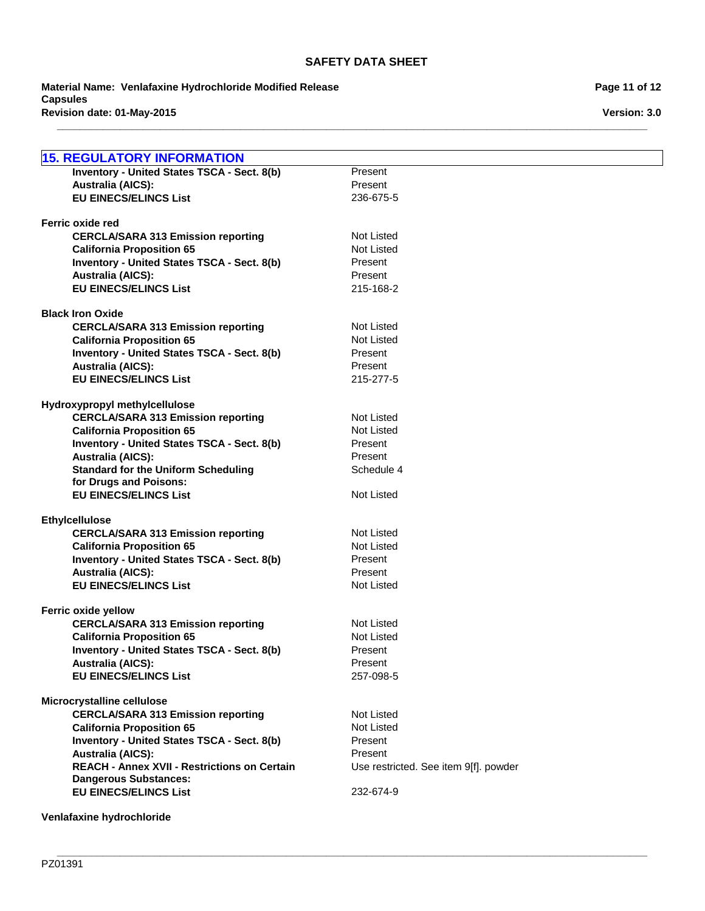**\_\_\_\_\_\_\_\_\_\_\_\_\_\_\_\_\_\_\_\_\_\_\_\_\_\_\_\_\_\_\_\_\_\_\_\_\_\_\_\_\_\_\_\_\_\_\_\_\_\_\_\_\_\_\_\_\_\_\_\_\_\_\_\_\_\_\_\_\_\_\_\_\_\_\_\_\_\_\_\_\_\_\_\_\_\_\_\_\_\_\_\_\_\_\_\_\_\_\_\_\_\_\_**

**Revision date: 01-May-2015 Material Name: Venlafaxine Hydrochloride Modified Release Capsules**

**Page 11 of 12**

**Version: 3.0**

| <b>15. REGULATORY INFORMATION</b>                                               |                                       |
|---------------------------------------------------------------------------------|---------------------------------------|
| Inventory - United States TSCA - Sect. 8(b)                                     | Present                               |
| <b>Australia (AICS):</b>                                                        | Present                               |
| <b>EU EINECS/ELINCS List</b>                                                    | 236-675-5                             |
|                                                                                 |                                       |
| Ferric oxide red                                                                |                                       |
| <b>CERCLA/SARA 313 Emission reporting</b>                                       | Not Listed                            |
| <b>California Proposition 65</b>                                                | <b>Not Listed</b>                     |
| Inventory - United States TSCA - Sect. 8(b)                                     | Present                               |
| <b>Australia (AICS):</b>                                                        | Present                               |
| <b>EU EINECS/ELINCS List</b>                                                    | 215-168-2                             |
|                                                                                 |                                       |
| <b>Black Iron Oxide</b>                                                         |                                       |
| <b>CERCLA/SARA 313 Emission reporting</b>                                       | Not Listed                            |
| <b>California Proposition 65</b>                                                | Not Listed                            |
| Inventory - United States TSCA - Sect. 8(b)                                     | Present                               |
| <b>Australia (AICS):</b>                                                        | Present                               |
| <b>EU EINECS/ELINCS List</b>                                                    | 215-277-5                             |
| Hydroxypropyl methylcellulose                                                   |                                       |
| <b>CERCLA/SARA 313 Emission reporting</b>                                       | Not Listed                            |
| <b>California Proposition 65</b>                                                | Not Listed                            |
| Inventory - United States TSCA - Sect. 8(b)                                     | Present                               |
| <b>Australia (AICS):</b>                                                        | Present                               |
| <b>Standard for the Uniform Scheduling</b>                                      | Schedule 4                            |
| for Drugs and Poisons:                                                          |                                       |
| <b>EU EINECS/ELINCS List</b>                                                    | Not Listed                            |
|                                                                                 |                                       |
| <b>Ethylcellulose</b>                                                           |                                       |
| <b>CERCLA/SARA 313 Emission reporting</b>                                       | <b>Not Listed</b>                     |
| <b>California Proposition 65</b>                                                | Not Listed                            |
| Inventory - United States TSCA - Sect. 8(b)                                     | Present<br>Present                    |
| <b>Australia (AICS):</b><br><b>EU EINECS/ELINCS List</b>                        | Not Listed                            |
|                                                                                 |                                       |
| Ferric oxide yellow                                                             |                                       |
| <b>CERCLA/SARA 313 Emission reporting</b>                                       | Not Listed                            |
| <b>California Proposition 65</b>                                                | Not Listed                            |
| <b>Inventory - United States TSCA - Sect. 8(b)</b>                              | Present                               |
| <b>Australia (AICS):</b>                                                        | Present                               |
| <b>EU EINECS/ELINCS List</b>                                                    | 257-098-5                             |
|                                                                                 |                                       |
| Microcrystalline cellulose                                                      |                                       |
| <b>CERCLA/SARA 313 Emission reporting</b>                                       | Not Listed                            |
| <b>California Proposition 65</b>                                                | <b>Not Listed</b>                     |
| <b>Inventory - United States TSCA - Sect. 8(b)</b>                              | Present<br>Present                    |
| <b>Australia (AICS):</b><br><b>REACH - Annex XVII - Restrictions on Certain</b> |                                       |
| <b>Dangerous Substances:</b>                                                    | Use restricted. See item 9[f]. powder |
| <b>EU EINECS/ELINCS List</b>                                                    | 232-674-9                             |
|                                                                                 |                                       |
| Venlafaxine hydrochloride                                                       |                                       |

**\_\_\_\_\_\_\_\_\_\_\_\_\_\_\_\_\_\_\_\_\_\_\_\_\_\_\_\_\_\_\_\_\_\_\_\_\_\_\_\_\_\_\_\_\_\_\_\_\_\_\_\_\_\_\_\_\_\_\_\_\_\_\_\_\_\_\_\_\_\_\_\_\_\_\_\_\_\_\_\_\_\_\_\_\_\_\_\_\_\_\_\_\_\_\_\_\_\_\_\_\_\_\_**